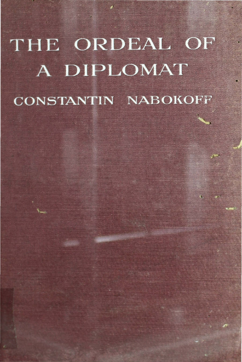# THE ORDEAL OF A DIPLOMAT **CONSTANTIN NABOKOFF**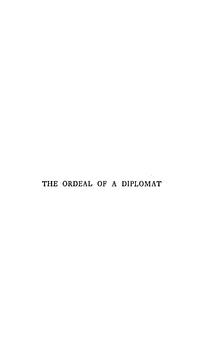# THE ORDEAL OF A DIPLOMAT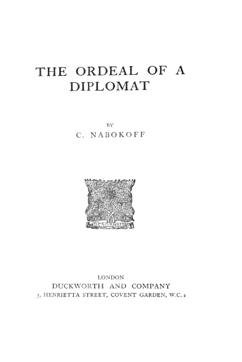# **THE ORDEAL OF A DIPLOMAT**

BY

# C. NABOKOFF



LONDON DUCKWORTH AND COMPANY 3, HENRIETTA STREET, COVENT GARDEN, W.C. 2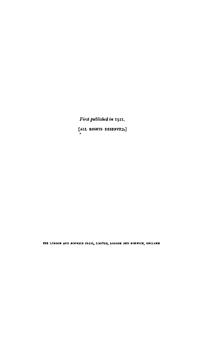First published in 1921. [ALL RIGHTS RESERVED.]

THE LONDON AND NORWICH PRESS, LIMITED, LONDON AND NORWICH, ENGLAND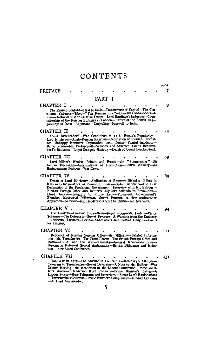# CONTENTS

|                                                                                                                                                                                                                                                                                                                                                                                                                                                                                                                 |  |  |  |        |  |  |  |  |  | PAGE |
|-----------------------------------------------------------------------------------------------------------------------------------------------------------------------------------------------------------------------------------------------------------------------------------------------------------------------------------------------------------------------------------------------------------------------------------------------------------------------------------------------------------------|--|--|--|--------|--|--|--|--|--|------|
| PREFACE                                                                                                                                                                                                                                                                                                                                                                                                                                                                                                         |  |  |  |        |  |  |  |  |  |      |
|                                                                                                                                                                                                                                                                                                                                                                                                                                                                                                                 |  |  |  | PART I |  |  |  |  |  |      |
| <b>CHAPTER I</b><br>The Russian Consul-General in India-Transference of Capital-The Con-<br>sulates-Calcutta-Tibet-" The Russian Spy"-Dispelling Misunderstand-<br>ings-Outbreak of War-Native Troops-Lord Hardinge's Influence-Counsellorship of the Russian Embassy in London-Future of the British Raj-<br>Journeys in India-Rajputana-Darjeeling-Farewell to India.                                                                                                                                         |  |  |  |        |  |  |  |  |  | Q    |
| CHAPTER II<br>Count Benckendorff-War Conditions in 1916-Russia's Popularity-                                                                                                                                                                                                                                                                                                                                                                                                                                    |  |  |  |        |  |  |  |  |  | 34   |
| CHAPTER III<br>Lord Milner's Mission-Britain and Russia-the "Steam-roller"-Sir<br>George Buchanan-Anticipations of Revolution-British Anxiety-An<br>Embarrassing Position-War News.                                                                                                                                                                                                                                                                                                                             |  |  |  |        |  |  |  |  |  | 59   |
| CHAPTER IV<br>Death of Lord Kitchener-Abdication of Emperor Nicholas--Effect in Russian Colony--Work of Russian Embassy--British Attitude--The First<br>Declaration of the Provisional Government-Interview with Mr. Balfour-<br>Russian Foreign Office and Reuter's-My Own Attitude to Revolution-<br>George-Telegram to Prince Lvov-Provisional Government's<br>Llovd<br>Blunders-Ministerial Differences-Soviet Pressure-A New Ambassador<br>Appointed-Sazonov-Mr. Henderson's Visit to Russia-Mr. Svatikov. |  |  |  |        |  |  |  |  |  | 60   |
| CHAPTER V.<br>The Emigres-Emigres' Committees-Repatriation-Mr. Deitch-Victor<br>Tchernov-The Defeatists-Soviet Pressure-A Warning from the Embassy<br>-Chicherin-Litvinov-German Submarines and Russian Emigres-Funds<br>for Emigrés,                                                                                                                                                                                                                                                                           |  |  |  |        |  |  |  |  |  | 94   |
| CHAPTER VI<br>Reticence of Russian Foreign Office-Mr. Miliukov-Belated Information-Mr. Tereschenko-The Three Phases-The British Foreign Office and<br>Russia-U.S.A. and the War--Kerensky-General Knox-Munitions--<br>Diplomatic Rules--A Second Ambassador--British Diffidence and Irrita-<br>tion-Inter-Allied Conference.                                                                                                                                                                                    |  |  |  |        |  |  |  |  |  | 111  |
| CHAPTER VII<br>The War in 1917-The Stockholm Conference-Kerensky's Attitude-<br>Telegram to Tereschenko-Soviet Delegates-A Note to Mr. Balfour-War<br>-Terrschenko's Criticism-Prime Minister's Compliment-Russian Criticism<br>-A Third Ambastador.                                                                                                                                                                                                                                                            |  |  |  | 5      |  |  |  |  |  | 131  |

 $\cdot$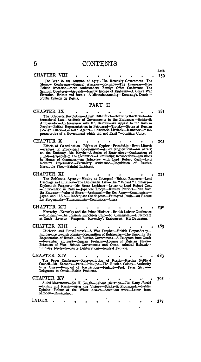# 6 CONTENTS

#### CHAPTER VIII

PAGE I 59

The War in the Autumn of 1917—The Kerensky Government—The Moscow Conference—General Alexeiev—Kornilov—The Dimarche—More Eritish Irritation—More Ambassadors—Foreign Office Conference—The Spanish Overtures—Air-raids—Narrow E Public Opinion on Russia.

#### PART II

 $\begin{tabular}{ll} \bf \textbf{CHAPTER} & \bf \textbf{PART} & \bf \textbf{I} \\ \bf \textbf{CHAPTER} & \bf \textbf{PART} & \bf \textbf{I} \\ \bf \textbf{The Bolshevik Revolution–Allies' Difficulties—British Self-restriction-  
ternational Law—Attitude of Government to the Embasis—Bolsveik \\ \bf\textit{Ambassador—An Interview with Mr. Balfour—An Appendix Deb. Bidsian  
People—British Representatives in Petrograd—Trotsky—Strike at Russian  
Presentative of a Government which did not Exist"—Russian Unity. Re-  
presentative of a Government which did not Exist"—Russian Unity.$ 181

#### CHAPTER X

Efforts at Co-ordination—Rights of Cypher—Friendship—Brest-Litovsk<br>—Failure of Provisional Government—Allied Negotiations—An Attack<br>con the Embassy—Mr. Krysin—A Series of Restrictions—Confiscation of<br>Funds—Expenses of the

CHAPTER XI • The Bolshevik Agency-Mutiny at Liverpool-British Resource-Lord Hardinge ani! Litvinov-The Diplomatic List-The "Vacant" Embassy-Diploma tic Passports-Mr. Bruce Lockhart-Letter to Lord Robert Cecil -Intervention in Russia-japanese Troops-Russian Patriots-Plan from the Embassy-Value of Stores-Archangel-the Red Army-Communism-Japan and U.S.A.-Jnadequate Contingents-Petrograd Panio-An Excuse for Propa.ganda-TrallliCaucasia-Confusioos-Omsk.

#### CHAPTER XII

Kerensky-Kerensky and the Prime Minister-British Labour Conference -Kuhlmaun-The Russian Luncheon Club-M. Clemenceau-Directorate at Omsk-Zavoiko-Passports-Kerensky's Excitement-His Detractors.

CHAPTER XIII 263 Chicherin and Brest-Litovsk---A War Prophet---British Despondency---<br>Indifference towards Russia----Revognition of Bolsheviks---The Union for the Regeneration of Russia---All-Russian Government---A Telegram from Omsk<br>---No

- CHAPTER XIV 283 The Peace Conference-Representation of Russia-Russian Political<br>Council-Mr. Sazonov--Paris--Prinkipo--The Russian Colony-Authority<br>from Omsk--Removal of Restrictions--Finland--Prof. Peter Struve-<br>Telegrams to Omsk--Baltic
- CHAPTER XV Allied Movements--Sir H. Gough--Labour Dictation--The Daily Herald<br>--Britain and Russia--After the Victory-Bolshevik Propaganda-Public<br>Opinion--Failure of the White Armies-Strenuous work--Letter from Sazonov-Resignation, 302
- INDEX 317  $\ddot{\phantom{a}}$  $\bullet$  $\bullet$  $\bullet$  .  $\bullet$  $\bullet$  $\bullet$  $\bullet$  $\bullet$

202

2:2[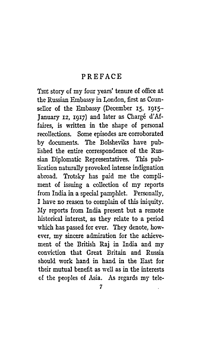# PREFACE

THE story of my four years' tenure of office at the Russian Embassy in London, first as Counsellor of the Embassy (December 15, 1915- January 12, 1917) and later as Chargé d'Affaires, is written in the shape of personal recollections. Some episodes are corroborated by documents. The Bolsheviks have published the entire correspondence of the Russian Diplomatic Representatives. This publication naturally provoked intense indignation abroad. Trotsky has paid me the compliment of issuing a collection of my reports from India in a special pamphlet. Personally, I have no reason to complain of this iniquity. My reports from India present but a remote historical interest, as they relate to a period which has passed for ever. They denote, however, my sincere admiration for the achievement of the British Raj in India and my conviction that Great Britain and Russia should work hand in hand in the East for their mutual benefit as well as in the interests of the peoples of Asia. As regards my tele-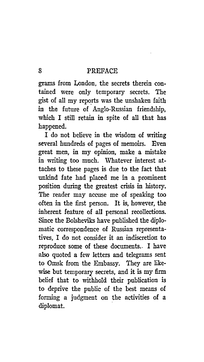# 8 PREFACE

grams from London, the secrets therein contained were only temporary secrets. The gist of all my reports was the unshaken faith in the future of Anglo-Russian friendship, which I still retain in spite of all that has happened.

I do not believe in the wisdom of writing several hundreds of pages of memoirs. Even great men, in my opinion, make a mistake in writing too much. Whatever interest attaches to these pages is due to the fact that unkind fate had placed me in a prominent position during the greatest crisis in history. The reader may accuse me of speaking too often in the first person. It is, however, the inherent feature of all personal recollections. Since the Bolsheviks have published the diplomatic correspondence of Russian representatives, I do not consider it an indiscretion to reproduce some of these documents.. I have also quoted a few letters and telegrams sent to Omsk from the Embassy. They are likewise but temporary secrets, and it is my firm belief that to withhold their publication is to deprive the public of the best means of forming a judgment on the activities of a diplomat.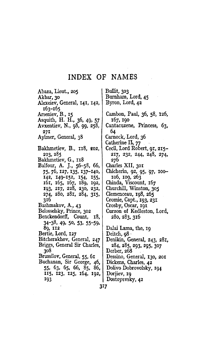# INDEX OF NAMES

Bullit, 303

Abaza, Lieut., 205 Akbar, 30 Alexeiev, General, 141, 142, 163-165 Arseniev, B., 15 Asquith, H. H., 36, 49, 57 Avxentiev, N., 98, 99, 258,  $27I$ Aylmer, General, 38 Bakhmetiev, B., 118, 202, 203, 285 Bakhmetiev, G., 118 Balfour, A. J., 56-58, 66, 75, 76, 127, 135, 137–140, 142, 149–152, 154, 155, 161, 165, 167, 189, 192, 193, 217, 228, 230, 232, 274, 280, 281, 284, 315, 316 Bashmakov, A., 43 Belosselsky, Prince, 302 Benckendorff, Count, 18,  $34-38$ , 49, 50, 53, 55-59, 89, 112 Bertie, Lord, 127 Bitcherakhov, General, 247 Briggs, General Sir Charles, 308 Brussilov, General, 55, 61 Buchanan, Sir George, 46, 55, 63, 65, 66, 85, 86, 115, 123, 125, 164, 192, 193

Burnham, Lord, 45 Byron, Lord, 42 Cambon, Paul, 36, 58, 126, 167, 190 Cantacuzene, Princess, 63, 64 Carnock, Lord, 36 Catherine II, 77 Cecil, Lord Robert, 91, 215-217, 232, 244, 248, 274, 276 Charles XII, 301 Chicherin, 92, 95, 97, 100-106, 109, 263 Chinda, Viscount, 167 Churchill, Winston, 305 Clemenceau, 198, 265 Cromie, Capt., 193, 231 Crosby, Oscar, 191 Curzon of Kedleston, Lord, 280, 283, 316 Dalai Lama, the, 19 Deitch,  $98 \cdot$ Denikin, General, 243, 281, 284, 285, 293, 295, 307 Derber, 268 Dessino, General, 130, 201 Dickens, Charles, 42 Dolivo Dobrovolsky, 194 Dorjiev, 19 Dostoyevsky, 42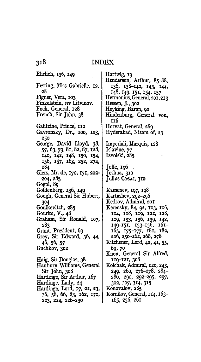### **INDEX**

Ehrlich, 136, 149 Festing, Miss Gabrielle, 12, 28 Figner, Vera, 103 Finkelstein, see Litvinov. Foch, General, 128 French, Sir John, 38 Galitzine, Prince, 112 Gavronsky, Dr., 100, 103, 250 George, David Lloyd, 38, 57, 63, 79, 81, 82, 87, 128, 140, 142, 148, 150, 154, 156, 157, 163, 252, 274, 284 Giers, Mr. de, 170, 171, 202-204, 285 Gogol, 89 Goldenberg, 136, 149 Gough, General Sir Hubert, 304 Goulkevitch, 285 Gourko, V.,  $48$ Graham, Sir Ronald, 107, 283 Grant, President, 63 Grey, Sir Edward, 36, 44, 46, 56, 57 Guchkov, 302 Haig, Sir Douglas, 38 Hanbury Williams, General Sir John, 308 Hardinge, Sir Arthur, 167 Hardinge, Lady, 24 Hardinge, Lord, 17, 22, 23, 36, 58, 66, 83, 162, 170, 223, 224, 226-230

Hartwig, 19 Henderson, Arthur, 85-88, 136, 138-140, 143, 144, 148, 149, 151, 154, 157 Hermonius, General, 201, 213 Hessen, J., 302 Heyking, Baron, 90 Hindenburg, General von, IIQ Horvat, General, 269 Hyderabad, Nizam of, 23 Imperiali, Marquis, 128 Islavine, 77 Izvolski, 285 Joffe, 196 Joshua, 310 Julius Cæsar, 310 Kamenev, 197, 198 Kartashev, 292-296 Kedrov, Admiral, 201 Kerensky, 84, 92, 103, 106, 114, 118, 119, 122, 128, 129, 133, 136, 139, 142, 149-151, 153-156, 161-165, 175-177, 181, 182, 206, 250-262, 268, 278 Kitchener, Lord, 40, 41, 55, 69, 70 Knox, General Sir Alfred, 119–121, 308 Kolchak, Admiral, 120, 243, 249, 260, 276–278, 284– 286, 290, 292-295, 297, 302, 307, 314, 315 Konovalov, 285 Kornilov, General, 114, 163-165, 256, 261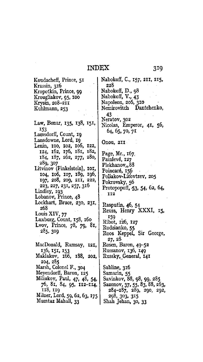# **INDEX**

Koudacheff, Prince, 51 Krassin, 316 Kropotkin, Prince, 99 Krougliakov, 95, 100 Krysin, 208-211 Kuhlmann, 253 Law, Bonar, 135, 138, 151, 153 Lamsdorff, Count, 19 Lansdowne, Lord, 19 Lenin, 100, 102, 106, 122, 124, 162, 176, 181, 182, 184, 187, 262, 277, 280, 289, 307 Litvinov (Finkelstein), 101, 104, 106, 107, 189, 196, 197, 208, 209, 211, 222, 223, 227, 231, 257, 316 Lindley, 193 Lobanov, Prince, 48 Lockhart, Bruce, 230, 231, 268 Louis XIV, 77 Luxburg, Count, 158, 160 Lvov, Prince, 78, 79, 81, 285, 309 MacDonald, Ramsay, 121, 136, 151, 153 Maklakov, 166, 188, 202, 204, 285 Marsh, Colonel F., 304 Meyendorff, Baron, 125 Miliukov, Paul, 47, 48, 54, 76, 81, 84, 95, 112-114, 118, 119 Milner, Lord, 59, 62, 63, 175 Mumtaz Mahall, 33

Nabokoff, C., 157, 211, 215, 228 Nabokoff, D., 98 Nabokoff, V., 43 Napoleon, 206, 310 Nemirovitch Dantchenko, 43 Neratov, 302<br>Nicolas, Emperor, 41, 56, 64, 65, 70, 71 Onou, 211 Page, Mr., 167. Painlevé, 127 Plekhanov, 88 Poincaré, 156 Poliakov-Litovtzev, 205 Pokrovsky, 56 Protopopoff, 53, 54, 62, 64, 112 Rasputin, 46, 54 Reuss, Henry XXXI, 15, 159

Ribot, 126, 127 Rodzianko, 55 Roos Keppel, Sir George, 27, 28 Rosen, Baron, 49–52 Russanov, 136, 149 Russky, General, 141 Sabline, 316

Samarin, 55 Savinkov, 88, 98, 99, 285 Sazonov, 37, 55, 83, 88, 263, 284-287, 289, 290, 292, 298, 303, 315 Shah Jehan, 30, 33